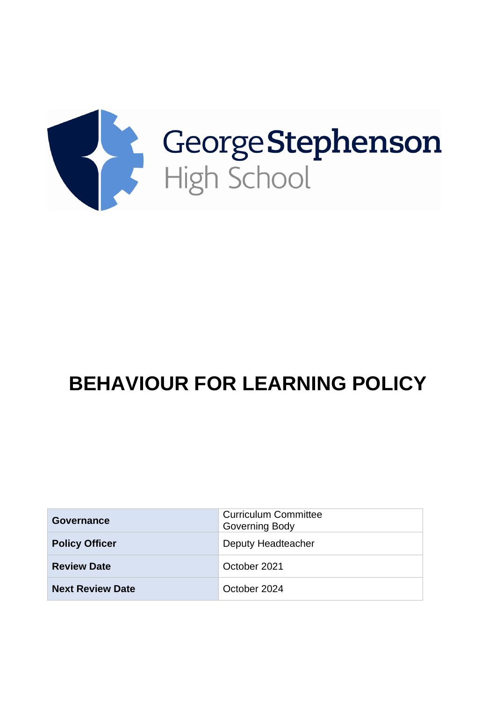

# **BEHAVIOUR FOR LEARNING POLICY**

| Governance              | <b>Curriculum Committee</b><br><b>Governing Body</b> |
|-------------------------|------------------------------------------------------|
| <b>Policy Officer</b>   | Deputy Headteacher                                   |
| <b>Review Date</b>      | October 2021                                         |
| <b>Next Review Date</b> | October 2024                                         |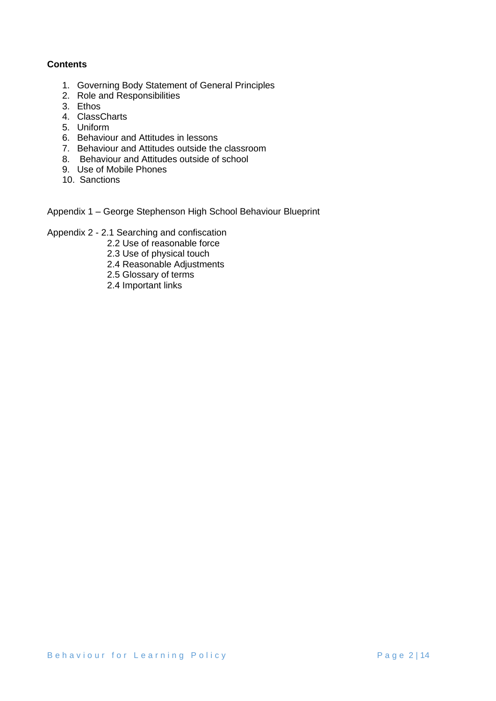# **Contents**

- 1. Governing Body Statement of General Principles
- 2. Role and Responsibilities
- 3. Ethos
- 4. ClassCharts
- 5. Uniform
- 6. Behaviour and Attitudes in lessons
- 7. Behaviour and Attitudes outside the classroom
- 8. Behaviour and Attitudes outside of school
- 9. Use of Mobile Phones
- 10. Sanctions
- Appendix 1 George Stephenson High School Behaviour Blueprint
- Appendix 2 2.1 Searching and confiscation
	- 2.2 Use of reasonable force
	- 2.3 Use of physical touch
	- 2.4 Reasonable Adjustments
	- 2.5 Glossary of terms
	- 2.4 Important links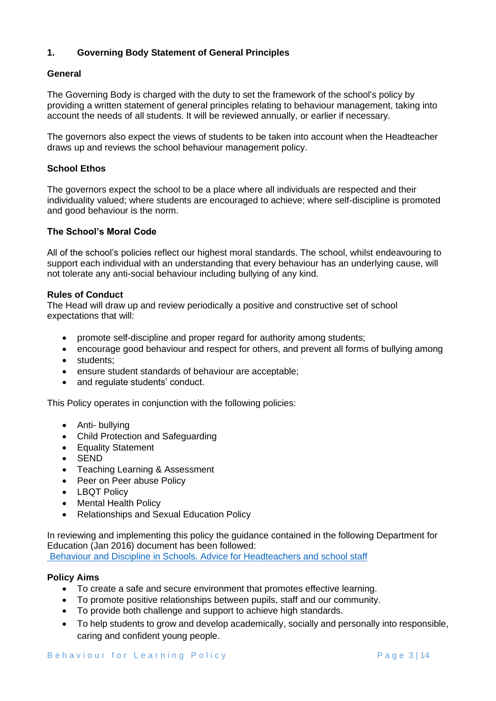# **1. Governing Body Statement of General Principles**

## **General**

The Governing Body is charged with the duty to set the framework of the school's policy by providing a written statement of general principles relating to behaviour management, taking into account the needs of all students. It will be reviewed annually, or earlier if necessary.

The governors also expect the views of students to be taken into account when the Headteacher draws up and reviews the school behaviour management policy.

## **School Ethos**

The governors expect the school to be a place where all individuals are respected and their individuality valued; where students are encouraged to achieve; where self-discipline is promoted and good behaviour is the norm.

## **The School's Moral Code**

All of the school's policies reflect our highest moral standards. The school, whilst endeavouring to support each individual with an understanding that every behaviour has an underlying cause, will not tolerate any anti-social behaviour including bullying of any kind.

## **Rules of Conduct**

The Head will draw up and review periodically a positive and constructive set of school expectations that will:

- promote self-discipline and proper regard for authority among students;
- encourage good behaviour and respect for others, and prevent all forms of bullying among
- students:
- ensure student standards of behaviour are acceptable;
- and regulate students' conduct.

This Policy operates in conjunction with the following policies:

- Anti- bullying
- Child Protection and Safeguarding
- Equality Statement
- SEND
- Teaching Learning & Assessment
- Peer on Peer abuse Policy
- LBQT Policy
- Mental Health Policy
- Relationships and Sexual Education Policy

In reviewing and implementing this policy the guidance contained in the following Department for Education (Jan 2016) document has been followed: [Behaviour and Discipline in Schools. Advice for Headteachers and school staff](https://assets.publishing.service.gov.uk/government/uploads/system/uploads/attachment_data/file/488034/Behaviour_and_Discipline_in_Schools_-_A_guide_for_headteachers_and_School_Staff.pdf)

## **Policy Aims**

- To create a safe and secure environment that promotes effective learning.
- To promote positive relationships between pupils, staff and our community.
- To provide both challenge and support to achieve high standards.
- To help students to grow and develop academically, socially and personally into responsible, caring and confident young people.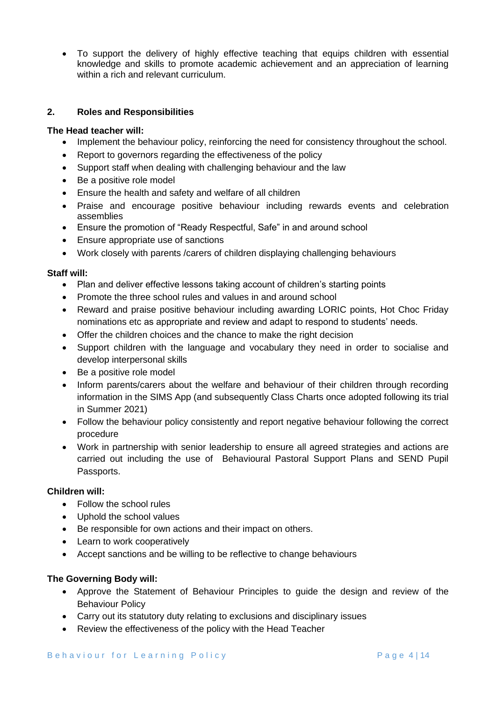• To support the delivery of highly effective teaching that equips children with essential knowledge and skills to promote academic achievement and an appreciation of learning within a rich and relevant curriculum.

# **2. Roles and Responsibilities**

## **The Head teacher will:**

- Implement the behaviour policy, reinforcing the need for consistency throughout the school.
- Report to governors regarding the effectiveness of the policy
- Support staff when dealing with challenging behaviour and the law
- Be a positive role model
- Ensure the health and safety and welfare of all children
- Praise and encourage positive behaviour including rewards events and celebration assemblies
- Ensure the promotion of "Ready Respectful, Safe" in and around school
- Ensure appropriate use of sanctions
- Work closely with parents /carers of children displaying challenging behaviours

## **Staff will:**

- Plan and deliver effective lessons taking account of children's starting points
- Promote the three school rules and values in and around school
- Reward and praise positive behaviour including awarding LORIC points, Hot Choc Friday nominations etc as appropriate and review and adapt to respond to students' needs.
- Offer the children choices and the chance to make the right decision
- Support children with the language and vocabulary they need in order to socialise and develop interpersonal skills
- Be a positive role model
- Inform parents/carers about the welfare and behaviour of their children through recording information in the SIMS App (and subsequently Class Charts once adopted following its trial in Summer 2021)
- Follow the behaviour policy consistently and report negative behaviour following the correct procedure
- Work in partnership with senior leadership to ensure all agreed strategies and actions are carried out including the use of Behavioural Pastoral Support Plans and SEND Pupil Passports.

# **Children will:**

- Follow the school rules
- Uphold the school values
- Be responsible for own actions and their impact on others.
- Learn to work cooperatively
- Accept sanctions and be willing to be reflective to change behaviours

# **The Governing Body will:**

- Approve the Statement of Behaviour Principles to guide the design and review of the Behaviour Policy
- Carry out its statutory duty relating to exclusions and disciplinary issues
- Review the effectiveness of the policy with the Head Teacher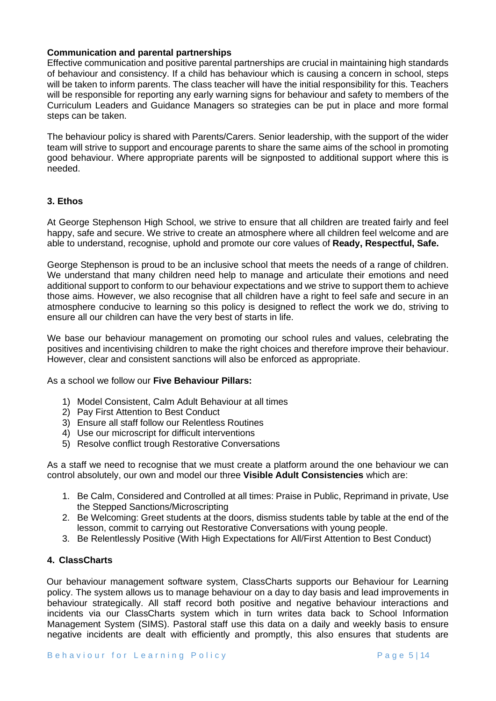## **Communication and parental partnerships**

Effective communication and positive parental partnerships are crucial in maintaining high standards of behaviour and consistency. If a child has behaviour which is causing a concern in school, steps will be taken to inform parents. The class teacher will have the initial responsibility for this. Teachers will be responsible for reporting any early warning signs for behaviour and safety to members of the Curriculum Leaders and Guidance Managers so strategies can be put in place and more formal steps can be taken.

The behaviour policy is shared with Parents/Carers. Senior leadership, with the support of the wider team will strive to support and encourage parents to share the same aims of the school in promoting good behaviour. Where appropriate parents will be signposted to additional support where this is needed.

## **3. Ethos**

At George Stephenson High School, we strive to ensure that all children are treated fairly and feel happy, safe and secure. We strive to create an atmosphere where all children feel welcome and are able to understand, recognise, uphold and promote our core values of **Ready, Respectful, Safe.** 

George Stephenson is proud to be an inclusive school that meets the needs of a range of children. We understand that many children need help to manage and articulate their emotions and need additional support to conform to our behaviour expectations and we strive to support them to achieve those aims. However, we also recognise that all children have a right to feel safe and secure in an atmosphere conducive to learning so this policy is designed to reflect the work we do, striving to ensure all our children can have the very best of starts in life.

We base our behaviour management on promoting our school rules and values, celebrating the positives and incentivising children to make the right choices and therefore improve their behaviour. However, clear and consistent sanctions will also be enforced as appropriate.

As a school we follow our **Five Behaviour Pillars:**

- 1) Model Consistent, Calm Adult Behaviour at all times
- 2) Pay First Attention to Best Conduct
- 3) Ensure all staff follow our Relentless Routines
- 4) Use our microscript for difficult interventions
- 5) Resolve conflict trough Restorative Conversations

As a staff we need to recognise that we must create a platform around the one behaviour we can control absolutely, our own and model our three **Visible Adult Consistencies** which are:

- 1. Be Calm, Considered and Controlled at all times: Praise in Public, Reprimand in private, Use the Stepped Sanctions/Microscripting
- 2. Be Welcoming: Greet students at the doors, dismiss students table by table at the end of the lesson, commit to carrying out Restorative Conversations with young people.
- 3. Be Relentlessly Positive (With High Expectations for All/First Attention to Best Conduct)

# **4. ClassCharts**

Our behaviour management software system, ClassCharts supports our Behaviour for Learning policy. The system allows us to manage behaviour on a day to day basis and lead improvements in behaviour strategically. All staff record both positive and negative behaviour interactions and incidents via our ClassCharts system which in turn writes data back to School Information Management System (SIMS). Pastoral staff use this data on a daily and weekly basis to ensure negative incidents are dealt with efficiently and promptly, this also ensures that students are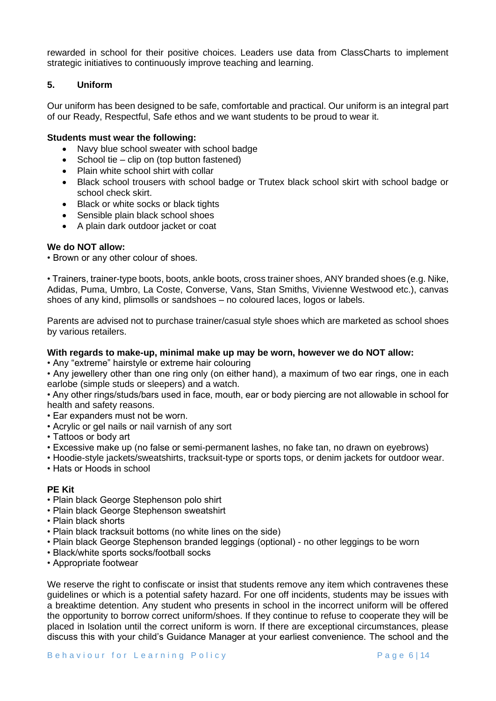rewarded in school for their positive choices. Leaders use data from ClassCharts to implement strategic initiatives to continuously improve teaching and learning.

# **5. Uniform**

Our uniform has been designed to be safe, comfortable and practical. Our uniform is an integral part of our Ready, Respectful, Safe ethos and we want students to be proud to wear it.

## **Students must wear the following:**

- Navy blue school sweater with school badge
- School tie clip on (top button fastened)
- Plain white school shirt with collar
- Black school trousers with school badge or Trutex black school skirt with school badge or school check skirt.
- Black or white socks or black tights
- Sensible plain black school shoes
- A plain dark outdoor jacket or coat

## **We do NOT allow:**

• Brown or any other colour of shoes.

• Trainers, trainer-type boots, boots, ankle boots, cross trainer shoes, ANY branded shoes (e.g. Nike, Adidas, Puma, Umbro, La Coste, Converse, Vans, Stan Smiths, Vivienne Westwood etc.), canvas shoes of any kind, plimsolls or sandshoes – no coloured laces, logos or labels.

Parents are advised not to purchase trainer/casual style shoes which are marketed as school shoes by various retailers.

## **With regards to make-up, minimal make up may be worn, however we do NOT allow:**

• Any "extreme" hairstyle or extreme hair colouring

• Any jewellery other than one ring only (on either hand), a maximum of two ear rings, one in each earlobe (simple studs or sleepers) and a watch.

• Any other rings/studs/bars used in face, mouth, ear or body piercing are not allowable in school for health and safety reasons.

- Ear expanders must not be worn.
- Acrylic or gel nails or nail varnish of any sort
- Tattoos or body art
- Excessive make up (no false or semi-permanent lashes, no fake tan, no drawn on eyebrows)
- Hoodie-style jackets/sweatshirts, tracksuit-type or sports tops, or denim jackets for outdoor wear.
- Hats or Hoods in school

## **PE Kit**

- Plain black George Stephenson polo shirt
- Plain black George Stephenson sweatshirt
- Plain black shorts
- Plain black tracksuit bottoms (no white lines on the side)
- Plain black George Stephenson branded leggings (optional) no other leggings to be worn
- Black/white sports socks/football socks
- Appropriate footwear

We reserve the right to confiscate or insist that students remove any item which contravenes these guidelines or which is a potential safety hazard. For one off incidents, students may be issues with a breaktime detention. Any student who presents in school in the incorrect uniform will be offered the opportunity to borrow correct uniform/shoes. If they continue to refuse to cooperate they will be placed in Isolation until the correct uniform is worn. If there are exceptional circumstances, please discuss this with your child's Guidance Manager at your earliest convenience. The school and the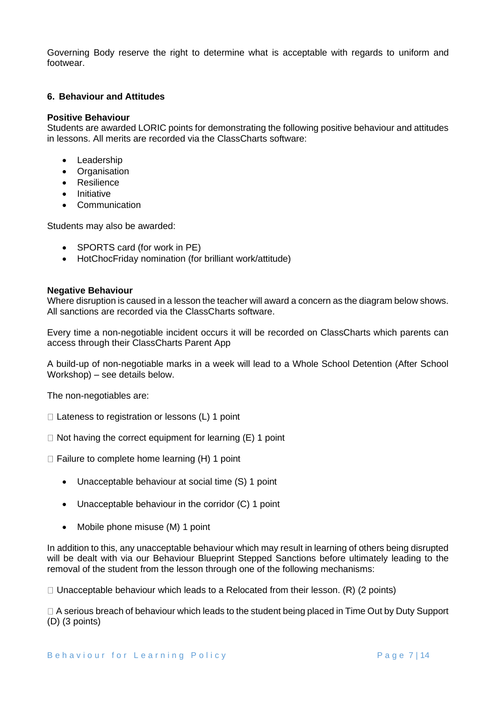Governing Body reserve the right to determine what is acceptable with regards to uniform and footwear.

## **6. Behaviour and Attitudes**

#### **Positive Behaviour**

Students are awarded LORIC points for demonstrating the following positive behaviour and attitudes in lessons. All merits are recorded via the ClassCharts software:

- Leadership
- Organisation
- Resilience
- Initiative
- Communication

Students may also be awarded:

- SPORTS card (for work in PE)
- HotChocFriday nomination (for brilliant work/attitude)

#### **Negative Behaviour**

Where disruption is caused in a lesson the teacher will award a concern as the diagram below shows. All sanctions are recorded via the ClassCharts software.

Every time a non-negotiable incident occurs it will be recorded on ClassCharts which parents can access through their ClassCharts Parent App

A build-up of non-negotiable marks in a week will lead to a Whole School Detention (After School Workshop) – see details below.

The non-negotiables are:

 $\Box$  Lateness to registration or lessons (L) 1 point

 $\Box$  Not having the correct equipment for learning (E) 1 point

 $\Box$  Failure to complete home learning (H) 1 point

- Unacceptable behaviour at social time (S) 1 point
- Unacceptable behaviour in the corridor (C) 1 point
- Mobile phone misuse (M) 1 point

In addition to this, any unacceptable behaviour which may result in learning of others being disrupted will be dealt with via our Behaviour Blueprint Stepped Sanctions before ultimately leading to the removal of the student from the lesson through one of the following mechanisms:

 $\Box$  Unacceptable behaviour which leads to a Relocated from their lesson. (R) (2 points)

□ A serious breach of behaviour which leads to the student being placed in Time Out by Duty Support (D) (3 points)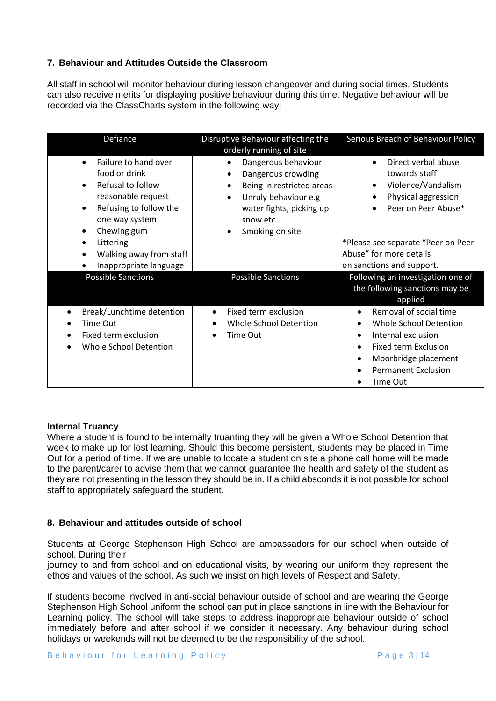# **7. Behaviour and Attitudes Outside the Classroom**

All staff in school will monitor behaviour during lesson changeover and during social times. Students can also receive merits for displaying positive behaviour during this time. Negative behaviour will be recorded via the ClassCharts system in the following way:

| Defiance                                                                                                                                                                                                                                                                            | Disruptive Behaviour affecting the<br>orderly running of site                                                                                                                                              | Serious Breach of Behaviour Policy                                                                                                                                                                     |
|-------------------------------------------------------------------------------------------------------------------------------------------------------------------------------------------------------------------------------------------------------------------------------------|------------------------------------------------------------------------------------------------------------------------------------------------------------------------------------------------------------|--------------------------------------------------------------------------------------------------------------------------------------------------------------------------------------------------------|
| Failure to hand over<br>$\bullet$<br>food or drink<br>Refusal to follow<br>$\bullet$<br>reasonable request<br>Refusing to follow the<br>$\bullet$<br>one way system<br>Chewing gum<br>$\bullet$<br>Littering<br>$\bullet$<br>Walking away from staff<br>٠<br>Inappropriate language | Dangerous behaviour<br>$\bullet$<br>Dangerous crowding<br>٠<br>Being in restricted areas<br>٠<br>Unruly behaviour e.g<br>$\bullet$<br>water fights, picking up<br>snow etc<br>Smoking on site<br>$\bullet$ | Direct verbal abuse<br>towards staff<br>Violence/Vandalism<br>Physical aggression<br>Peer on Peer Abuse*<br>*Please see separate "Peer on Peer<br>Abuse" for more details<br>on sanctions and support. |
| <b>Possible Sanctions</b>                                                                                                                                                                                                                                                           | <b>Possible Sanctions</b>                                                                                                                                                                                  | Following an investigation one of<br>the following sanctions may be<br>applied                                                                                                                         |
| Break/Lunchtime detention<br>Time Out<br>Fixed term exclusion<br>Whole School Detention                                                                                                                                                                                             | Fixed term exclusion<br>Whole School Detention<br>Time Out                                                                                                                                                 | Removal of social time<br>Whole School Detention<br>Internal exclusion<br>$\bullet$<br><b>Fixed term Exclusion</b><br>$\bullet$<br>Moorbridge placement<br>٠<br><b>Permanent Exclusion</b><br>Time Out |

# **Internal Truancy**

Where a student is found to be internally truanting they will be given a Whole School Detention that week to make up for lost learning. Should this become persistent, students may be placed in Time Out for a period of time. If we are unable to locate a student on site a phone call home will be made to the parent/carer to advise them that we cannot guarantee the health and safety of the student as they are not presenting in the lesson they should be in. If a child absconds it is not possible for school staff to appropriately safeguard the student.

# **8. Behaviour and attitudes outside of school**

Students at George Stephenson High School are ambassadors for our school when outside of school. During their

journey to and from school and on educational visits, by wearing our uniform they represent the ethos and values of the school. As such we insist on high levels of Respect and Safety.

If students become involved in anti-social behaviour outside of school and are wearing the George Stephenson High School uniform the school can put in place sanctions in line with the Behaviour for Learning policy. The school will take steps to address inappropriate behaviour outside of school immediately before and after school if we consider it necessary. Any behaviour during school holidays or weekends will not be deemed to be the responsibility of the school.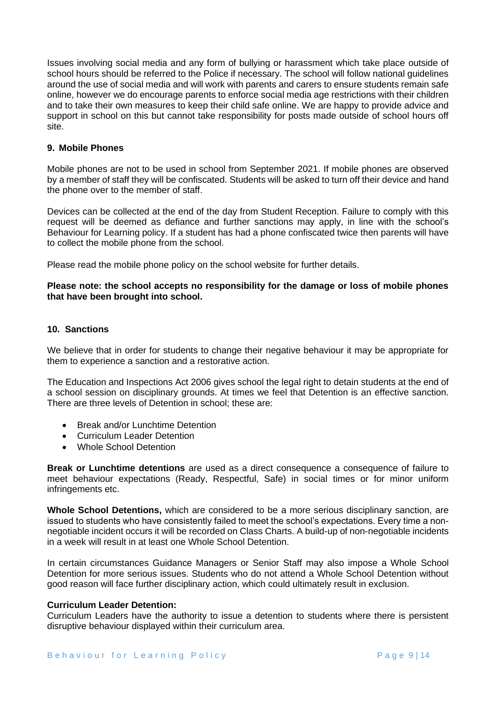Issues involving social media and any form of bullying or harassment which take place outside of school hours should be referred to the Police if necessary. The school will follow national guidelines around the use of social media and will work with parents and carers to ensure students remain safe online, however we do encourage parents to enforce social media age restrictions with their children and to take their own measures to keep their child safe online. We are happy to provide advice and support in school on this but cannot take responsibility for posts made outside of school hours off site.

#### **9. Mobile Phones**

Mobile phones are not to be used in school from September 2021. If mobile phones are observed by a member of staff they will be confiscated. Students will be asked to turn off their device and hand the phone over to the member of staff.

Devices can be collected at the end of the day from Student Reception. Failure to comply with this request will be deemed as defiance and further sanctions may apply, in line with the school's Behaviour for Learning policy. If a student has had a phone confiscated twice then parents will have to collect the mobile phone from the school.

Please read the mobile phone policy on the school website for further details.

## **Please note: the school accepts no responsibility for the damage or loss of mobile phones that have been brought into school.**

#### **10. Sanctions**

We believe that in order for students to change their negative behaviour it may be appropriate for them to experience a sanction and a restorative action.

The Education and Inspections Act 2006 gives school the legal right to detain students at the end of a school session on disciplinary grounds. At times we feel that Detention is an effective sanction. There are three levels of Detention in school; these are:

- Break and/or Lunchtime Detention
- Curriculum Leader Detention
- Whole School Detention

**Break or Lunchtime detentions** are used as a direct consequence a consequence of failure to meet behaviour expectations (Ready, Respectful, Safe) in social times or for minor uniform infringements etc.

**Whole School Detentions,** which are considered to be a more serious disciplinary sanction, are issued to students who have consistently failed to meet the school's expectations. Every time a nonnegotiable incident occurs it will be recorded on Class Charts. A build-up of non-negotiable incidents in a week will result in at least one Whole School Detention.

In certain circumstances Guidance Managers or Senior Staff may also impose a Whole School Detention for more serious issues. Students who do not attend a Whole School Detention without good reason will face further disciplinary action, which could ultimately result in exclusion.

#### **Curriculum Leader Detention:**

Curriculum Leaders have the authority to issue a detention to students where there is persistent disruptive behaviour displayed within their curriculum area.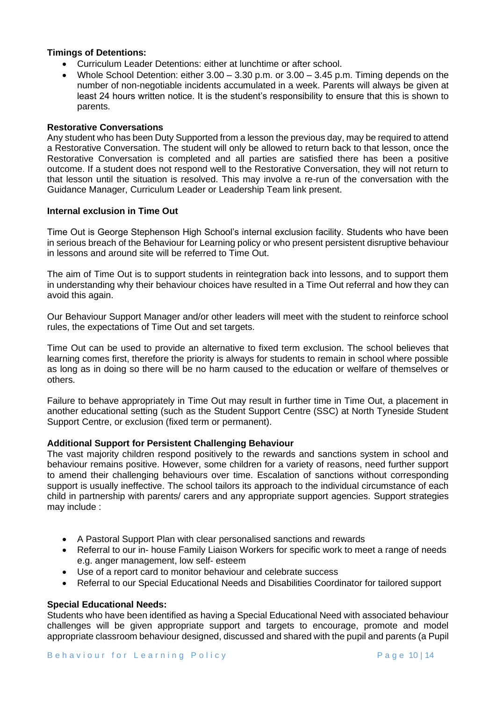## **Timings of Detentions:**

- Curriculum Leader Detentions: either at lunchtime or after school.
- Whole School Detention: either  $3.00 3.30$  p.m. or  $3.00 3.45$  p.m. Timing depends on the number of non-negotiable incidents accumulated in a week. Parents will always be given at least 24 hours written notice. It is the student's responsibility to ensure that this is shown to parents.

## **Restorative Conversations**

Any student who has been Duty Supported from a lesson the previous day, may be required to attend a Restorative Conversation. The student will only be allowed to return back to that lesson, once the Restorative Conversation is completed and all parties are satisfied there has been a positive outcome. If a student does not respond well to the Restorative Conversation, they will not return to that lesson until the situation is resolved. This may involve a re-run of the conversation with the Guidance Manager, Curriculum Leader or Leadership Team link present.

## **Internal exclusion in Time Out**

Time Out is George Stephenson High School's internal exclusion facility. Students who have been in serious breach of the Behaviour for Learning policy or who present persistent disruptive behaviour in lessons and around site will be referred to Time Out.

The aim of Time Out is to support students in reintegration back into lessons, and to support them in understanding why their behaviour choices have resulted in a Time Out referral and how they can avoid this again.

Our Behaviour Support Manager and/or other leaders will meet with the student to reinforce school rules, the expectations of Time Out and set targets.

Time Out can be used to provide an alternative to fixed term exclusion. The school believes that learning comes first, therefore the priority is always for students to remain in school where possible as long as in doing so there will be no harm caused to the education or welfare of themselves or others.

Failure to behave appropriately in Time Out may result in further time in Time Out, a placement in another educational setting (such as the Student Support Centre (SSC) at North Tyneside Student Support Centre, or exclusion (fixed term or permanent).

## **Additional Support for Persistent Challenging Behaviour**

The vast majority children respond positively to the rewards and sanctions system in school and behaviour remains positive. However, some children for a variety of reasons, need further support to amend their challenging behaviours over time. Escalation of sanctions without corresponding support is usually ineffective. The school tailors its approach to the individual circumstance of each child in partnership with parents/ carers and any appropriate support agencies. Support strategies may include :

- A Pastoral Support Plan with clear personalised sanctions and rewards
- Referral to our in- house Family Liaison Workers for specific work to meet a range of needs e.g. anger management, low self- esteem
- Use of a report card to monitor behaviour and celebrate success
- Referral to our Special Educational Needs and Disabilities Coordinator for tailored support

## **Special Educational Needs:**

Students who have been identified as having a Special Educational Need with associated behaviour challenges will be given appropriate support and targets to encourage, promote and model appropriate classroom behaviour designed, discussed and shared with the pupil and parents (a Pupil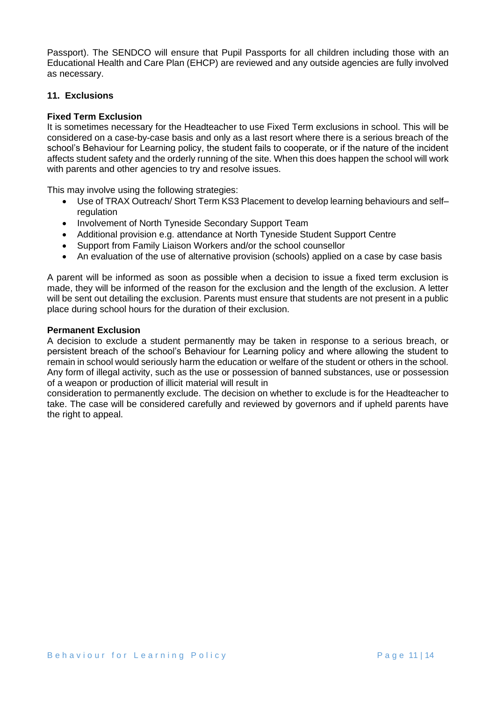Passport). The SENDCO will ensure that Pupil Passports for all children including those with an Educational Health and Care Plan (EHCP) are reviewed and any outside agencies are fully involved as necessary.

# **11. Exclusions**

# **Fixed Term Exclusion**

It is sometimes necessary for the Headteacher to use Fixed Term exclusions in school. This will be considered on a case-by-case basis and only as a last resort where there is a serious breach of the school's Behaviour for Learning policy, the student fails to cooperate, or if the nature of the incident affects student safety and the orderly running of the site. When this does happen the school will work with parents and other agencies to try and resolve issues.

This may involve using the following strategies:

- Use of TRAX Outreach/ Short Term KS3 Placement to develop learning behaviours and self– regulation
- Involvement of North Tyneside Secondary Support Team
- Additional provision e.g. attendance at North Tyneside Student Support Centre
- Support from Family Liaison Workers and/or the school counsellor
- An evaluation of the use of alternative provision (schools) applied on a case by case basis

A parent will be informed as soon as possible when a decision to issue a fixed term exclusion is made, they will be informed of the reason for the exclusion and the length of the exclusion. A letter will be sent out detailing the exclusion. Parents must ensure that students are not present in a public place during school hours for the duration of their exclusion.

## **Permanent Exclusion**

A decision to exclude a student permanently may be taken in response to a serious breach, or persistent breach of the school's Behaviour for Learning policy and where allowing the student to remain in school would seriously harm the education or welfare of the student or others in the school. Any form of illegal activity, such as the use or possession of banned substances, use or possession of a weapon or production of illicit material will result in

consideration to permanently exclude. The decision on whether to exclude is for the Headteacher to take. The case will be considered carefully and reviewed by governors and if upheld parents have the right to appeal.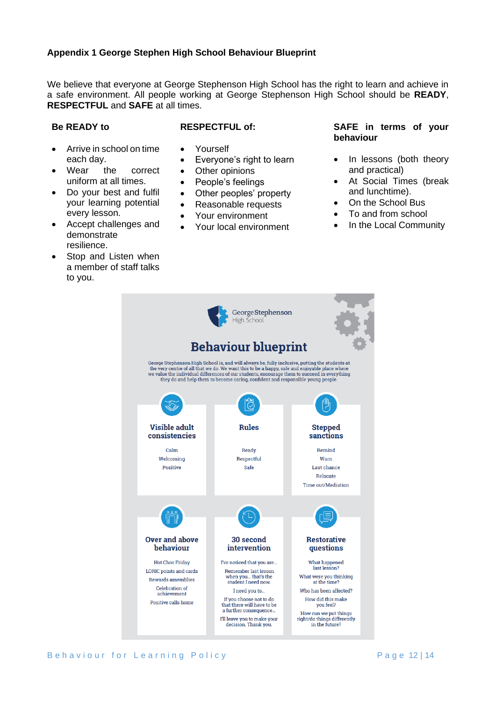# **Appendix 1 George Stephen High School Behaviour Blueprint**

We believe that everyone at George Stephenson High School has the right to learn and achieve in a safe environment. All people working at George Stephenson High School should be **READY**, **RESPECTFUL** and **SAFE** at all times.

# **Be READY to**

# **RESPECTFUL of:**

- Arrive in school on time each day.
- Wear the correct uniform at all times.
- Do your best and fulfil your learning potential every lesson.
- Accept challenges and demonstrate resilience.
- Stop and Listen when a member of staff talks to you.
- Yourself
- Everyone's right to learn
- Other opinions
- People's feelings
- Other peoples' property
- Reasonable requests
- Your environment
- Your local environment

## **SAFE in terms of your behaviour**

- In lessons (both theory and practical)
- At Social Times (break and lunchtime).
- On the School Bus
- To and from school
- In the Local Community

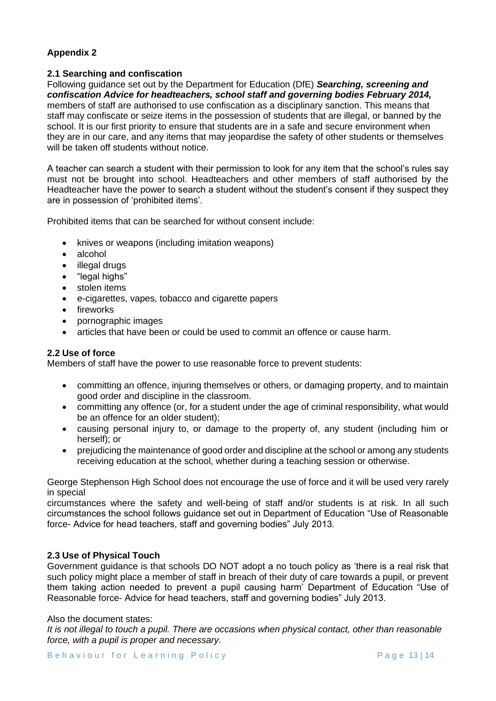# **Appendix 2**

# **2.1 Searching and confiscation**

Following guidance set out by the Department for Education (DfE) *Searching, screening and confiscation Advice for headteachers, school staff and governing bodies February 2014,*  members of staff are authorised to use confiscation as a disciplinary sanction. This means that staff may confiscate or seize items in the possession of students that are illegal, or banned by the school. It is our first priority to ensure that students are in a safe and secure environment when they are in our care, and any items that may jeopardise the safety of other students or themselves will be taken off students without notice.

A teacher can search a student with their permission to look for any item that the school's rules say must not be brought into school. Headteachers and other members of staff authorised by the Headteacher have the power to search a student without the student's consent if they suspect they are in possession of 'prohibited items'.

Prohibited items that can be searched for without consent include:

- knives or weapons (including imitation weapons)
- alcohol
- illegal drugs
- "legal highs"
- stolen items
- e-cigarettes, vapes, tobacco and cigarette papers
- fireworks
- pornographic images
- articles that have been or could be used to commit an offence or cause harm.

# **2.2 Use of force**

Members of staff have the power to use reasonable force to prevent students:

- committing an offence, injuring themselves or others, or damaging property, and to maintain good order and discipline in the classroom.
- committing any offence (or, for a student under the age of criminal responsibility, what would be an offence for an older student);
- causing personal injury to, or damage to the property of, any student (including him or herself); or
- prejudicing the maintenance of good order and discipline at the school or among any students receiving education at the school, whether during a teaching session or otherwise.

George Stephenson High School does not encourage the use of force and it will be used very rarely in special

circumstances where the safety and well-being of staff and/or students is at risk. In all such circumstances the school follows guidance set out in Department of Education "Use of Reasonable force- Advice for head teachers, staff and governing bodies" July 2013.

## **2.3 Use of Physical Touch**

Government guidance is that schools DO NOT adopt a no touch policy as 'there is a real risk that such policy might place a member of staff in breach of their duty of care towards a pupil, or prevent them taking action needed to prevent a pupil causing harm' Department of Education "Use of Reasonable force- Advice for head teachers, staff and governing bodies" July 2013.

## Also the document states:

*It is not illegal to touch a pupil. There are occasions when physical contact, other than reasonable force, with a pupil is proper and necessary.*